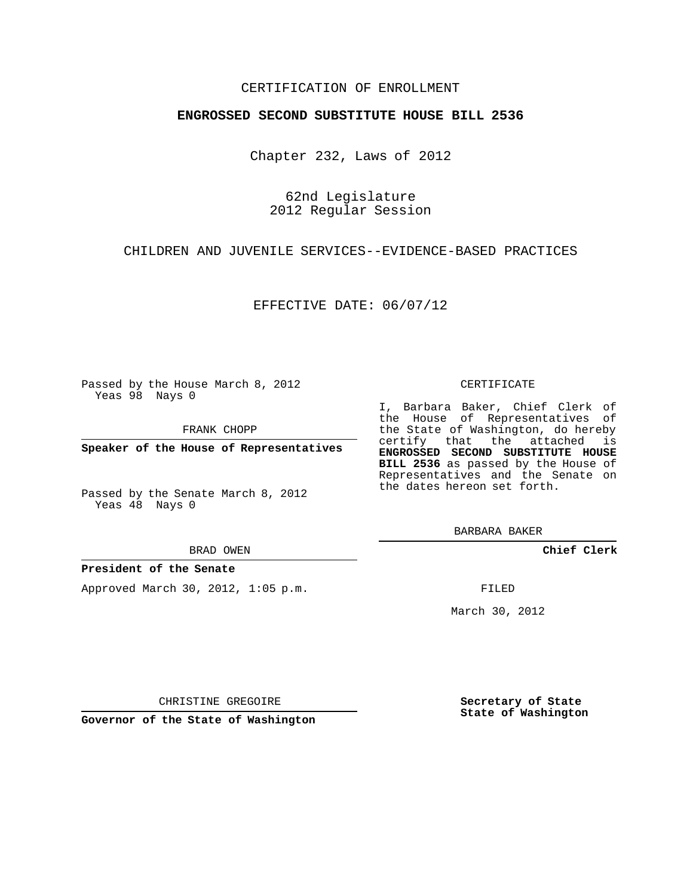## CERTIFICATION OF ENROLLMENT

## **ENGROSSED SECOND SUBSTITUTE HOUSE BILL 2536**

Chapter 232, Laws of 2012

62nd Legislature 2012 Regular Session

CHILDREN AND JUVENILE SERVICES--EVIDENCE-BASED PRACTICES

EFFECTIVE DATE: 06/07/12

Passed by the House March 8, 2012 Yeas 98 Nays 0

FRANK CHOPP

**Speaker of the House of Representatives**

Passed by the Senate March 8, 2012 Yeas 48 Nays 0

### **President of the Senate**

Approved March 30, 2012, 1:05 p.m.

#### CERTIFICATE

I, Barbara Baker, Chief Clerk of the House of Representatives of the State of Washington, do hereby certify that the attached is **ENGROSSED SECOND SUBSTITUTE HOUSE BILL 2536** as passed by the House of Representatives and the Senate on the dates hereon set forth.

BARBARA BAKER

**Chief Clerk**

FILED

March 30, 2012

**Secretary of State State of Washington**

CHRISTINE GREGOIRE

**Governor of the State of Washington**

BRAD OWEN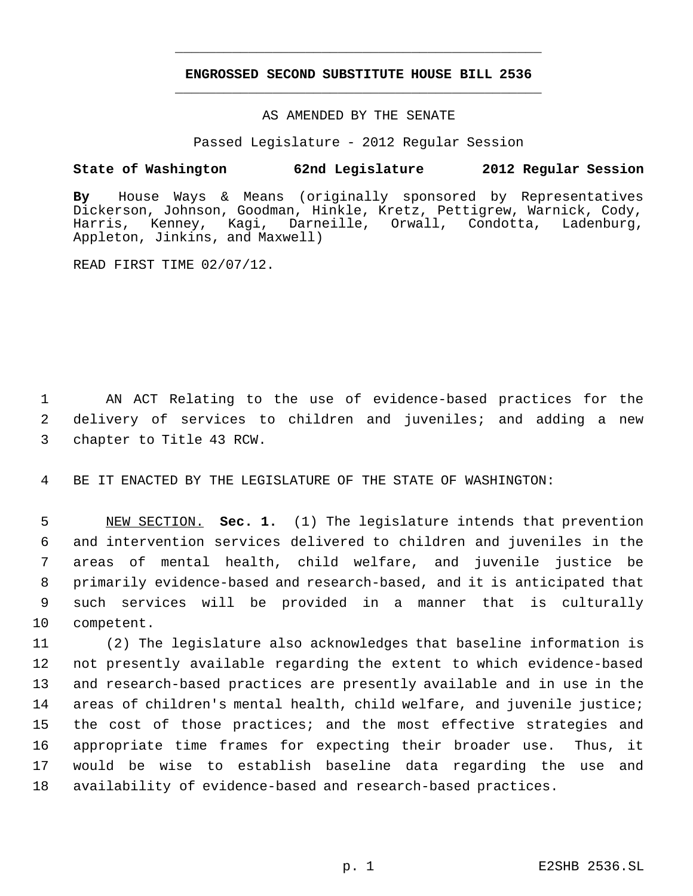# **ENGROSSED SECOND SUBSTITUTE HOUSE BILL 2536** \_\_\_\_\_\_\_\_\_\_\_\_\_\_\_\_\_\_\_\_\_\_\_\_\_\_\_\_\_\_\_\_\_\_\_\_\_\_\_\_\_\_\_\_\_

\_\_\_\_\_\_\_\_\_\_\_\_\_\_\_\_\_\_\_\_\_\_\_\_\_\_\_\_\_\_\_\_\_\_\_\_\_\_\_\_\_\_\_\_\_

## AS AMENDED BY THE SENATE

Passed Legislature - 2012 Regular Session

## **State of Washington 62nd Legislature 2012 Regular Session**

**By** House Ways & Means (originally sponsored by Representatives Dickerson, Johnson, Goodman, Hinkle, Kretz, Pettigrew, Warnick, Cody, Harris, Kenney, Kagi, Darneille, Orwall, Condotta, Ladenburg, Appleton, Jinkins, and Maxwell)

READ FIRST TIME 02/07/12.

 1 AN ACT Relating to the use of evidence-based practices for the 2 delivery of services to children and juveniles; and adding a new 3 chapter to Title 43 RCW.

4 BE IT ENACTED BY THE LEGISLATURE OF THE STATE OF WASHINGTON:

 NEW SECTION. **Sec. 1.** (1) The legislature intends that prevention and intervention services delivered to children and juveniles in the areas of mental health, child welfare, and juvenile justice be primarily evidence-based and research-based, and it is anticipated that such services will be provided in a manner that is culturally competent.

 (2) The legislature also acknowledges that baseline information is not presently available regarding the extent to which evidence-based and research-based practices are presently available and in use in the areas of children's mental health, child welfare, and juvenile justice; the cost of those practices; and the most effective strategies and appropriate time frames for expecting their broader use. Thus, it would be wise to establish baseline data regarding the use and availability of evidence-based and research-based practices.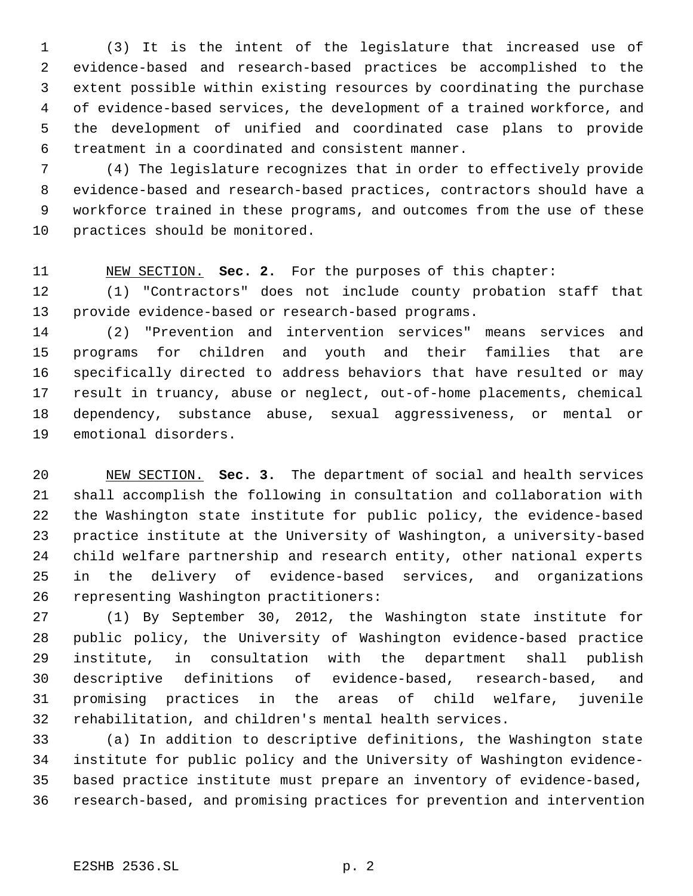(3) It is the intent of the legislature that increased use of evidence-based and research-based practices be accomplished to the extent possible within existing resources by coordinating the purchase of evidence-based services, the development of a trained workforce, and the development of unified and coordinated case plans to provide treatment in a coordinated and consistent manner.

 (4) The legislature recognizes that in order to effectively provide evidence-based and research-based practices, contractors should have a workforce trained in these programs, and outcomes from the use of these practices should be monitored.

NEW SECTION. **Sec. 2.** For the purposes of this chapter:

 (1) "Contractors" does not include county probation staff that provide evidence-based or research-based programs.

 (2) "Prevention and intervention services" means services and programs for children and youth and their families that are specifically directed to address behaviors that have resulted or may result in truancy, abuse or neglect, out-of-home placements, chemical dependency, substance abuse, sexual aggressiveness, or mental or emotional disorders.

 NEW SECTION. **Sec. 3.** The department of social and health services shall accomplish the following in consultation and collaboration with the Washington state institute for public policy, the evidence-based practice institute at the University of Washington, a university-based child welfare partnership and research entity, other national experts in the delivery of evidence-based services, and organizations representing Washington practitioners:

 (1) By September 30, 2012, the Washington state institute for public policy, the University of Washington evidence-based practice institute, in consultation with the department shall publish descriptive definitions of evidence-based, research-based, and promising practices in the areas of child welfare, juvenile rehabilitation, and children's mental health services.

 (a) In addition to descriptive definitions, the Washington state institute for public policy and the University of Washington evidence- based practice institute must prepare an inventory of evidence-based, research-based, and promising practices for prevention and intervention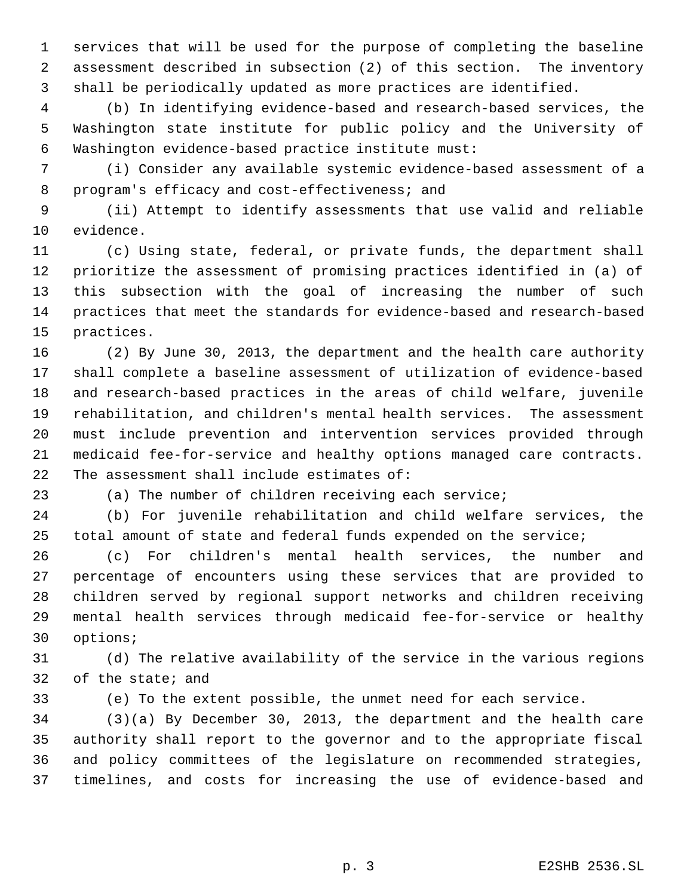services that will be used for the purpose of completing the baseline assessment described in subsection (2) of this section. The inventory shall be periodically updated as more practices are identified.

 (b) In identifying evidence-based and research-based services, the Washington state institute for public policy and the University of Washington evidence-based practice institute must:

 (i) Consider any available systemic evidence-based assessment of a program's efficacy and cost-effectiveness; and

 (ii) Attempt to identify assessments that use valid and reliable evidence.

 (c) Using state, federal, or private funds, the department shall prioritize the assessment of promising practices identified in (a) of this subsection with the goal of increasing the number of such practices that meet the standards for evidence-based and research-based practices.

 (2) By June 30, 2013, the department and the health care authority shall complete a baseline assessment of utilization of evidence-based and research-based practices in the areas of child welfare, juvenile rehabilitation, and children's mental health services. The assessment must include prevention and intervention services provided through medicaid fee-for-service and healthy options managed care contracts. The assessment shall include estimates of:

(a) The number of children receiving each service;

 (b) For juvenile rehabilitation and child welfare services, the total amount of state and federal funds expended on the service;

 (c) For children's mental health services, the number and percentage of encounters using these services that are provided to children served by regional support networks and children receiving mental health services through medicaid fee-for-service or healthy options;

 (d) The relative availability of the service in the various regions of the state; and

(e) To the extent possible, the unmet need for each service.

 (3)(a) By December 30, 2013, the department and the health care authority shall report to the governor and to the appropriate fiscal and policy committees of the legislature on recommended strategies, timelines, and costs for increasing the use of evidence-based and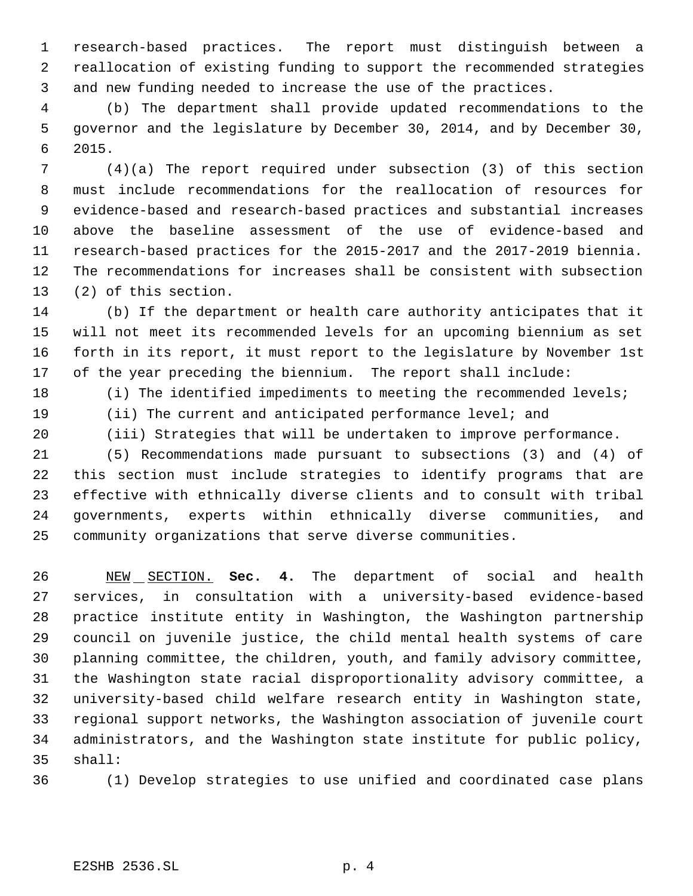research-based practices. The report must distinguish between a reallocation of existing funding to support the recommended strategies and new funding needed to increase the use of the practices.

 (b) The department shall provide updated recommendations to the governor and the legislature by December 30, 2014, and by December 30, 2015.

 (4)(a) The report required under subsection (3) of this section must include recommendations for the reallocation of resources for evidence-based and research-based practices and substantial increases above the baseline assessment of the use of evidence-based and research-based practices for the 2015-2017 and the 2017-2019 biennia. The recommendations for increases shall be consistent with subsection (2) of this section.

 (b) If the department or health care authority anticipates that it will not meet its recommended levels for an upcoming biennium as set forth in its report, it must report to the legislature by November 1st of the year preceding the biennium. The report shall include:

(i) The identified impediments to meeting the recommended levels;

- (ii) The current and anticipated performance level; and
- (iii) Strategies that will be undertaken to improve performance.

 (5) Recommendations made pursuant to subsections (3) and (4) of this section must include strategies to identify programs that are effective with ethnically diverse clients and to consult with tribal governments, experts within ethnically diverse communities, and community organizations that serve diverse communities.

 NEW SECTION. **Sec. 4.** The department of social and health services, in consultation with a university-based evidence-based practice institute entity in Washington, the Washington partnership council on juvenile justice, the child mental health systems of care planning committee, the children, youth, and family advisory committee, the Washington state racial disproportionality advisory committee, a university-based child welfare research entity in Washington state, regional support networks, the Washington association of juvenile court administrators, and the Washington state institute for public policy, shall:

(1) Develop strategies to use unified and coordinated case plans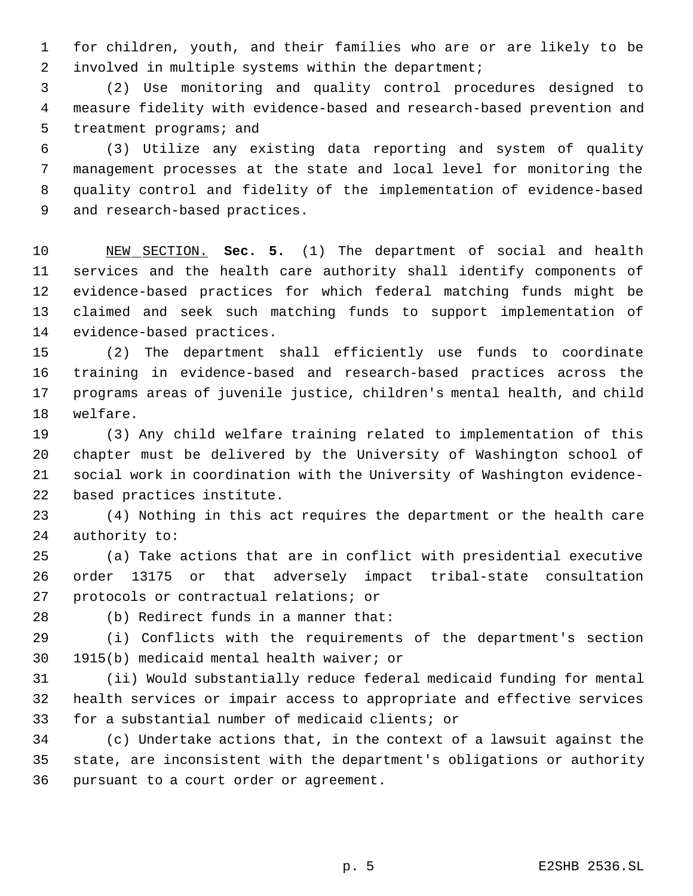for children, youth, and their families who are or are likely to be involved in multiple systems within the department;

 (2) Use monitoring and quality control procedures designed to measure fidelity with evidence-based and research-based prevention and 5 treatment programs; and

 (3) Utilize any existing data reporting and system of quality management processes at the state and local level for monitoring the quality control and fidelity of the implementation of evidence-based and research-based practices.

 NEW SECTION. **Sec. 5.** (1) The department of social and health services and the health care authority shall identify components of evidence-based practices for which federal matching funds might be claimed and seek such matching funds to support implementation of evidence-based practices.

 (2) The department shall efficiently use funds to coordinate training in evidence-based and research-based practices across the programs areas of juvenile justice, children's mental health, and child welfare.

 (3) Any child welfare training related to implementation of this chapter must be delivered by the University of Washington school of social work in coordination with the University of Washington evidence-based practices institute.

 (4) Nothing in this act requires the department or the health care authority to:

 (a) Take actions that are in conflict with presidential executive order 13175 or that adversely impact tribal-state consultation protocols or contractual relations; or

(b) Redirect funds in a manner that:

 (i) Conflicts with the requirements of the department's section 1915(b) medicaid mental health waiver; or

 (ii) Would substantially reduce federal medicaid funding for mental health services or impair access to appropriate and effective services for a substantial number of medicaid clients; or

 (c) Undertake actions that, in the context of a lawsuit against the state, are inconsistent with the department's obligations or authority pursuant to a court order or agreement.